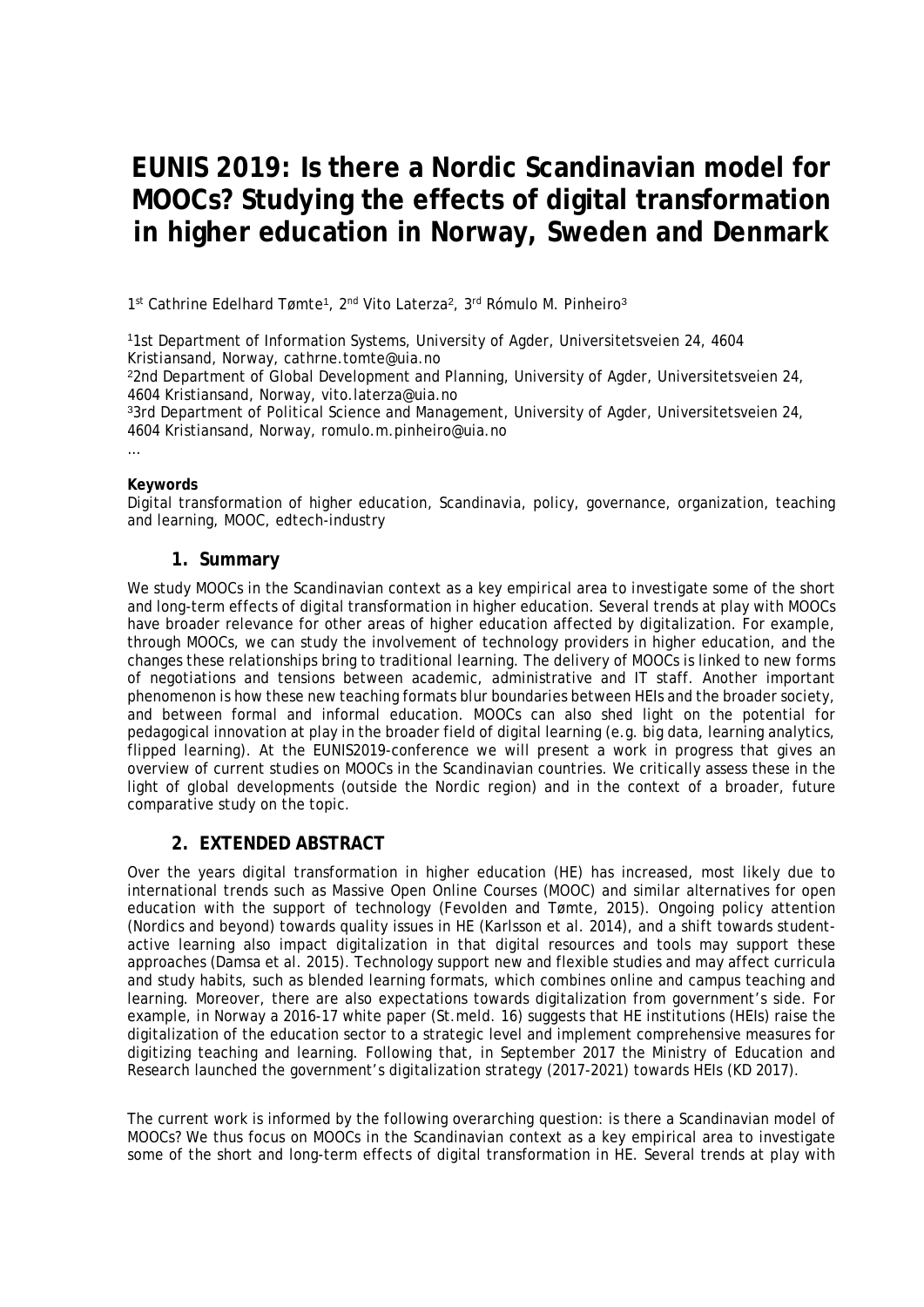# **EUNIS 2019: Is there a Nordic Scandinavian model for MOOCs? Studying the effects of digital transformation in higher education in Norway, Sweden and Denmark**

1<sup>st</sup> Cathrine Edelhard Tømte<sup>1</sup>, 2<sup>nd</sup> Vito Laterza<sup>2</sup>, 3<sup>rd</sup> Rómulo M. Pinheiro<sup>3</sup>

<sup>1</sup>1st Department of Information Systems, University of Agder, Universitetsveien 24, 4604 Kristiansand, Norway, cathrne.tomte@uia.no

<sup>2</sup>2nd Department of Global Development and Planning, University of Agder, Universitetsveien 24, 4604 Kristiansand, Norway, vito.laterza@uia.no

<sup>3</sup>3rd Department of Political Science and Management, University of Agder, Universitetsveien 24, 4604 Kristiansand, Norway, romulo.m.pinheiro@uia.no

…

#### **Keywords**

Digital transformation of higher education, Scandinavia, policy, governance, organization, teaching and learning, MOOC, edtech-industry

#### **1. Summary**

We study MOOCs in the Scandinavian context as a key empirical area to investigate some of the short and long-term effects of digital transformation in higher education. Several trends at play with MOOCs have broader relevance for other areas of higher education affected by digitalization. For example, through MOOCs, we can study the involvement of technology providers in higher education, and the changes these relationships bring to traditional learning. The delivery of MOOCs is linked to new forms of negotiations and tensions between academic, administrative and IT staff. Another important phenomenon is how these new teaching formats blur boundaries between HEIs and the broader society, and between formal and informal education. MOOCs can also shed light on the potential for pedagogical innovation at play in the broader field of digital learning (e.g. big data, learning analytics, flipped learning). At the EUNIS2019-conference we will present a work in progress that gives an overview of current studies on MOOCs in the Scandinavian countries. We critically assess these in the light of global developments (outside the Nordic region) and in the context of a broader, future comparative study on the topic.

#### **2. EXTENDED ABSTRACT**

Over the years digital transformation in higher education (HE) has increased, most likely due to international trends such as Massive Open Online Courses (MOOC) and similar alternatives for open education with the support of technology (Fevolden and Tømte, 2015). Ongoing policy attention (Nordics and beyond) towards quality issues in HE (Karlsson et al. 2014), and a shift towards studentactive learning also impact digitalization in that digital resources and tools may support these approaches (Damsa et al. 2015). Technology support new and flexible studies and may affect curricula and study habits, such as blended learning formats, which combines online and campus teaching and learning. Moreover, there are also expectations towards digitalization from government's side. For example, in Norway a 2016-17 white paper (St.meld. 16) suggests that HE institutions (HEIs) raise the digitalization of the education sector to a strategic level and implement comprehensive measures for digitizing teaching and learning. Following that, in September 2017 the Ministry of Education and Research launched the government's digitalization strategy (2017-2021) towards HEIs (KD 2017).

The current work is informed by the following overarching question: is there a Scandinavian model of MOOCs? We thus focus on MOOCs in the Scandinavian context as a key empirical area to investigate some of the short and long-term effects of digital transformation in HE. Several trends at play with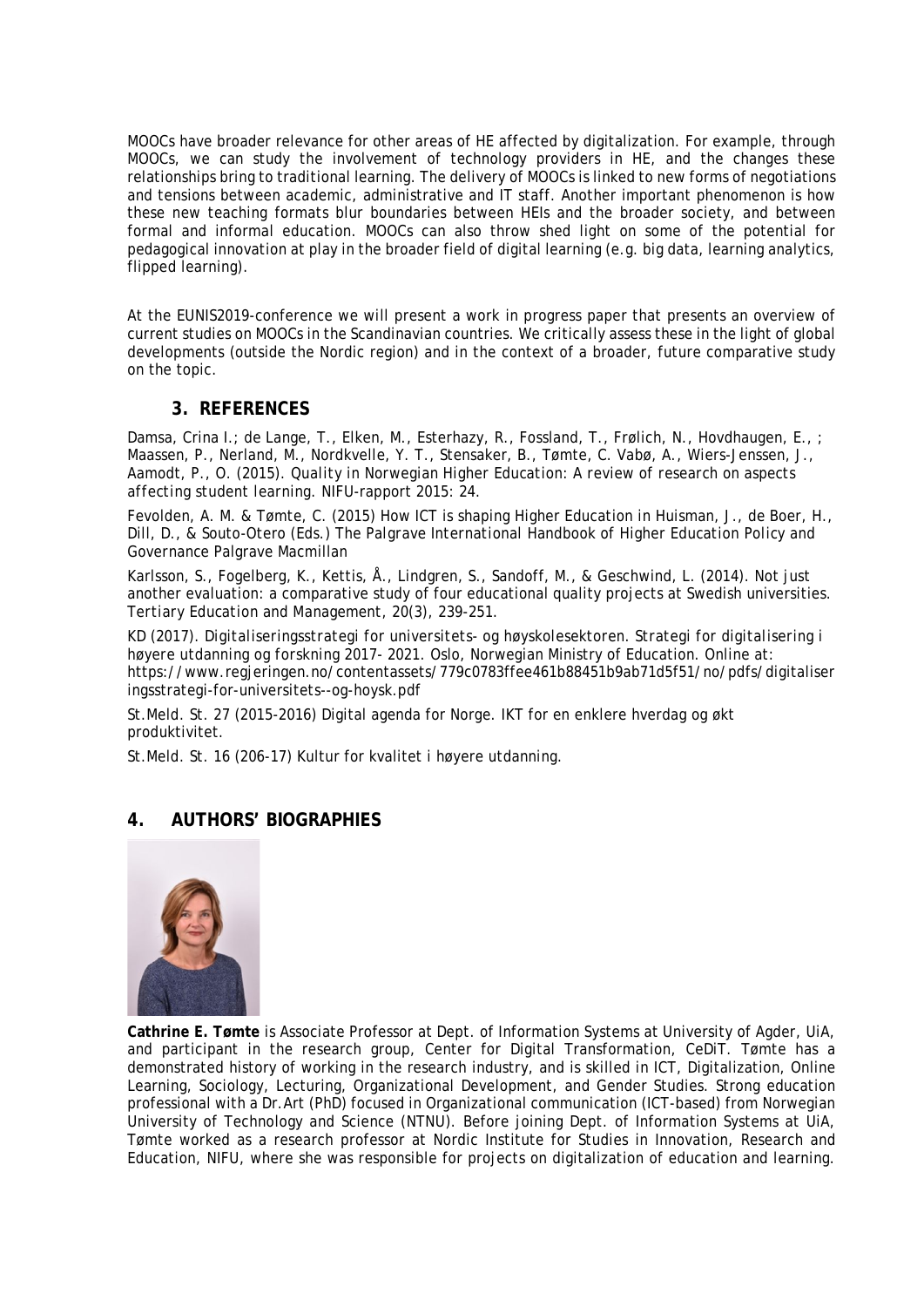MOOCs have broader relevance for other areas of HE affected by digitalization. For example, through MOOCs, we can study the involvement of technology providers in HE, and the changes these relationships bring to traditional learning. The delivery of MOOCs is linked to new forms of negotiations and tensions between academic, administrative and IT staff. Another important phenomenon is how these new teaching formats blur boundaries between HEIs and the broader society, and between formal and informal education. MOOCs can also throw shed light on some of the potential for pedagogical innovation at play in the broader field of digital learning (e.g. big data, learning analytics, flipped learning).

At the EUNIS2019-conference we will present a work in progress paper that presents an overview of current studies on MOOCs in the Scandinavian countries. We critically assess these in the light of global developments (outside the Nordic region) and in the context of a broader, future comparative study on the topic.

### **3. REFERENCES**

Damsa, Crina I.; de Lange, T., Elken, M., Esterhazy, R., Fossland, T., Frølich, N., Hovdhaugen, E., ; Maassen, P., Nerland, M., Nordkvelle, Y. T., Stensaker, B., Tømte, C. Vabø, A., Wiers-Jenssen, J., Aamodt, P., O. (2015). *Quality in Norwegian Higher Education: A review of research on aspects affecting student learning*. NIFU-rapport 2015: 24.

Fevolden, A. M. & Tømte, C. (2015) How ICT is shaping Higher Education in Huisman, J., de Boer, H., Dill, D., & Souto-Otero (Eds.) *The Palgrave International Handbook of Higher Education Policy and Governance* Palgrave Macmillan

Karlsson, S., Fogelberg, K., Kettis, Å., Lindgren, S., Sandoff, M., & Geschwind, L. (2014). Not just another evaluation: a comparative study of four educational quality projects at Swedish universities. *Tertiary Education and Management*, 20(3), 239-251.

KD (2017). *Digitaliseringsstrategi for universitets- og høyskolesektoren. Strategi for digitalisering i høyere utdanning og forskning 2017- 2021*. Oslo, Norwegian Ministry of Education. Online at: https://www.regjeringen.no/contentassets/779c0783ffee461b88451b9ab71d5f51/no/pdfs/digitaliser ingsstrategi-for-universitets--og-hoysk.pdf

St.Meld. St. 27 (2015-2016) Digital agenda for Norge. IKT for en enklere hverdag og økt produktivitet.

St.Meld. St. 16 (206-17) Kultur for kvalitet i høyere utdanning.

## **4. AUTHORS' BIOGRAPHIES**



**Cathrine E. Tømte** is Associate Professor at Dept. of Information Systems at University of Agder, UiA, and participant in the research group, Center for Digital Transformation, CeDiT. Tømte has a demonstrated history of working in the research industry, and is skilled in ICT, Digitalization, Online Learning, Sociology, Lecturing, Organizational Development, and Gender Studies. Strong education professional with a Dr.Art (PhD) focused in Organizational communication (ICT-based) from Norwegian University of Technology and Science (NTNU). Before joining Dept. of Information Systems at UiA, Tømte worked as a research professor at Nordic Institute for Studies in Innovation, Research and Education, NIFU, where she was responsible for projects on digitalization of education and learning.